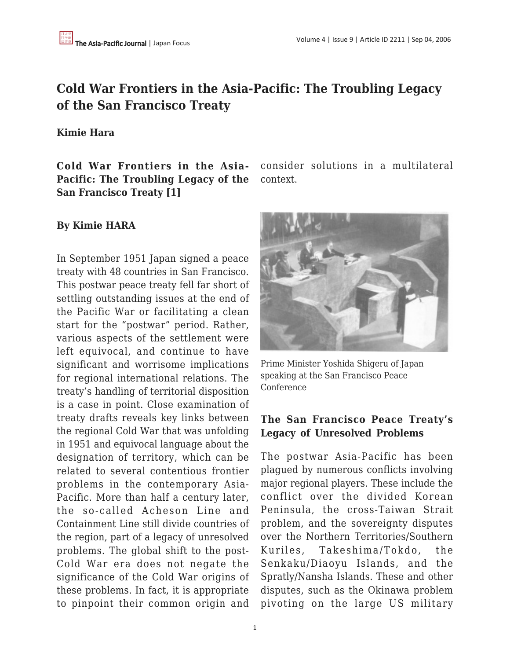# **Cold War Frontiers in the Asia-Pacific: The Troubling Legacy of the San Francisco Treaty**

### **Kimie Hara**

**Cold War Frontiers in the Asia-Pacific: The Troubling Legacy of the San Francisco Treaty [1]**

consider solutions in a multilateral context.

### **By Kimie HARA**

In September 1951 Japan signed a peace treaty with 48 countries in San Francisco. This postwar peace treaty fell far short of settling outstanding issues at the end of the Pacific War or facilitating a clean start for the "postwar" period. Rather, various aspects of the settlement were left equivocal, and continue to have significant and worrisome implications for regional international relations. The treaty's handling of territorial disposition is a case in point. Close examination of treaty drafts reveals key links between the regional Cold War that was unfolding in 1951 and equivocal language about the designation of territory, which can be related to several contentious frontier problems in the contemporary Asia-Pacific. More than half a century later, the so-called Acheson Line and Containment Line still divide countries of the region, part of a legacy of unresolved problems. The global shift to the post-Cold War era does not negate the significance of the Cold War origins of these problems. In fact, it is appropriate to pinpoint their common origin and



Prime Minister Yoshida Shigeru of Japan speaking at the San Francisco Peace Conference

## **The San Francisco Peace Treaty's Legacy of Unresolved Problems**

The postwar Asia-Pacific has been plagued by numerous conflicts involving major regional players. These include the conflict over the divided Korean Peninsula, the cross-Taiwan Strait problem, and the sovereignty disputes over the Northern Territories/Southern Kuriles, Takeshima/Tokdo, the Senkaku/Diaoyu Islands, and the Spratly/Nansha Islands. These and other disputes, such as the Okinawa problem pivoting on the large US military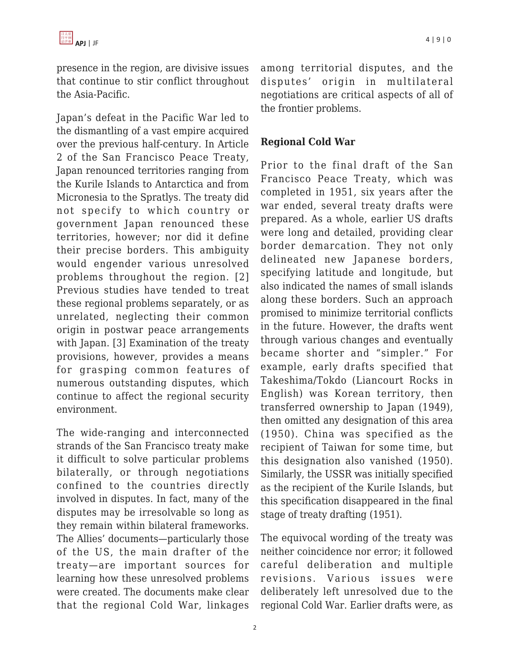presence in the region, are divisive issues that continue to stir conflict throughout the Asia-Pacific.

Japan's defeat in the Pacific War led to the dismantling of a vast empire acquired over the previous half-century. In Article 2 of the San Francisco Peace Treaty, Japan renounced territories ranging from the Kurile Islands to Antarctica and from Micronesia to the Spratlys. The treaty did not specify to which country or government Japan renounced these territories, however; nor did it define their precise borders. This ambiguity would engender various unresolved problems throughout the region. [2] Previous studies have tended to treat these regional problems separately, or as unrelated, neglecting their common origin in postwar peace arrangements with Japan. [3] Examination of the treaty provisions, however, provides a means for grasping common features of numerous outstanding disputes, which continue to affect the regional security environment.

The wide-ranging and interconnected strands of the San Francisco treaty make it difficult to solve particular problems bilaterally, or through negotiations confined to the countries directly involved in disputes. In fact, many of the disputes may be irresolvable so long as they remain within bilateral frameworks. The Allies' documents—particularly those of the US, the main drafter of the treaty—are important sources for learning how these unresolved problems were created. The documents make clear that the regional Cold War, linkages among territorial disputes, and the disputes' origin in multilateral negotiations are critical aspects of all of the frontier problems.

## **Regional Cold War**

Prior to the final draft of the San Francisco Peace Treaty, which was completed in 1951, six years after the war ended, several treaty drafts were prepared. As a whole, earlier US drafts were long and detailed, providing clear border demarcation. They not only delineated new Japanese borders, specifying latitude and longitude, but also indicated the names of small islands along these borders. Such an approach promised to minimize territorial conflicts in the future. However, the drafts went through various changes and eventually became shorter and "simpler." For example, early drafts specified that Takeshima/Tokdo (Liancourt Rocks in English) was Korean territory, then transferred ownership to Japan (1949), then omitted any designation of this area (1950). China was specified as the recipient of Taiwan for some time, but this designation also vanished (1950). Similarly, the USSR was initially specified as the recipient of the Kurile Islands, but this specification disappeared in the final stage of treaty drafting (1951).

The equivocal wording of the treaty was neither coincidence nor error; it followed careful deliberation and multiple revisions. Various issues were deliberately left unresolved due to the regional Cold War. Earlier drafts were, as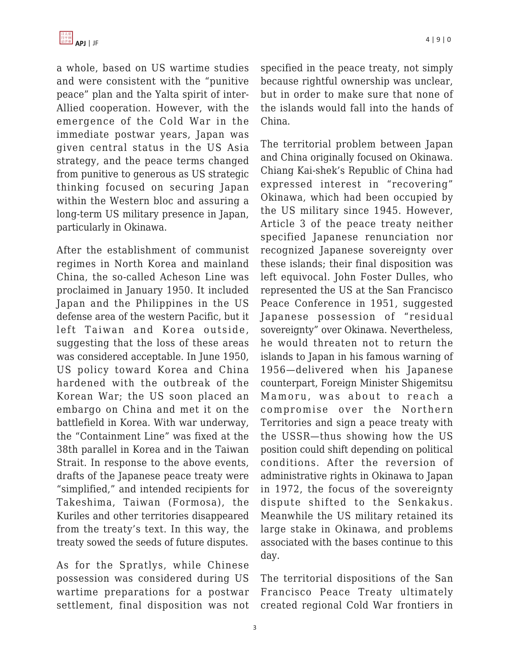a whole, based on US wartime studies and were consistent with the "punitive peace" plan and the Yalta spirit of inter-Allied cooperation. However, with the emergence of the Cold War in the immediate postwar years, Japan was given central status in the US Asia strategy, and the peace terms changed from punitive to generous as US strategic thinking focused on securing Japan within the Western bloc and assuring a long-term US military presence in Japan, particularly in Okinawa.

After the establishment of communist regimes in North Korea and mainland China, the so-called Acheson Line was proclaimed in January 1950. It included Japan and the Philippines in the US defense area of the western Pacific, but it left Taiwan and Korea outside, suggesting that the loss of these areas was considered acceptable. In June 1950, US policy toward Korea and China hardened with the outbreak of the Korean War; the US soon placed an embargo on China and met it on the battlefield in Korea. With war underway, the "Containment Line" was fixed at the 38th parallel in Korea and in the Taiwan Strait. In response to the above events, drafts of the Japanese peace treaty were "simplified," and intended recipients for Takeshima, Taiwan (Formosa), the Kuriles and other territories disappeared from the treaty's text. In this way, the treaty sowed the seeds of future disputes.

As for the Spratlys, while Chinese possession was considered during US wartime preparations for a postwar settlement, final disposition was not specified in the peace treaty, not simply because rightful ownership was unclear, but in order to make sure that none of the islands would fall into the hands of China.

The territorial problem between Japan and China originally focused on Okinawa. Chiang Kai-shek's Republic of China had expressed interest in "recovering" Okinawa, which had been occupied by the US military since 1945. However, Article 3 of the peace treaty neither specified Japanese renunciation nor recognized Japanese sovereignty over these islands; their final disposition was left equivocal. John Foster Dulles, who represented the US at the San Francisco Peace Conference in 1951, suggested Japanese possession of "residual sovereignty" over Okinawa. Nevertheless, he would threaten not to return the islands to Japan in his famous warning of 1956—delivered when his Japanese counterpart, Foreign Minister Shigemitsu Mamoru, was about to reach a compromise over the Northern Territories and sign a peace treaty with the USSR—thus showing how the US position could shift depending on political conditions. After the reversion of administrative rights in Okinawa to Japan in 1972, the focus of the sovereignty dispute shifted to the Senkakus. Meanwhile the US military retained its large stake in Okinawa, and problems associated with the bases continue to this day.

The territorial dispositions of the San Francisco Peace Treaty ultimately created regional Cold War frontiers in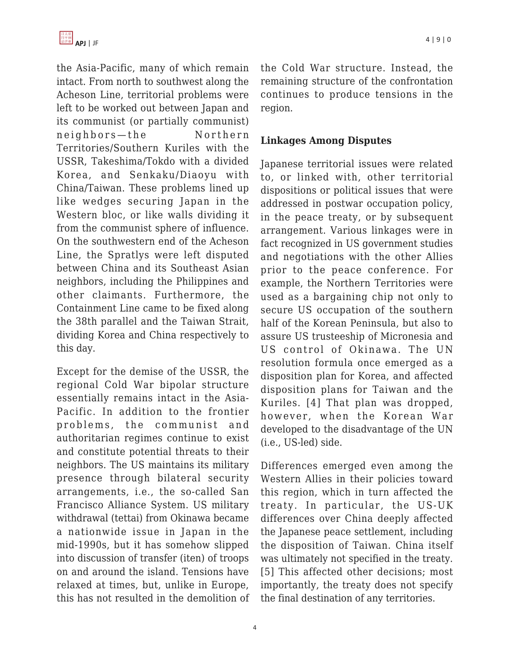the Asia-Pacific, many of which remain intact. From north to southwest along the Acheson Line, territorial problems were left to be worked out between Japan and its communist (or partially communist) neighbors — the Northern Territories/Southern Kuriles with the USSR, Takeshima/Tokdo with a divided Korea, and Senkaku/Diaoyu with China/Taiwan. These problems lined up like wedges securing Japan in the Western bloc, or like walls dividing it from the communist sphere of influence. On the southwestern end of the Acheson Line, the Spratlys were left disputed between China and its Southeast Asian neighbors, including the Philippines and other claimants. Furthermore, the Containment Line came to be fixed along the 38th parallel and the Taiwan Strait, dividing Korea and China respectively to this day.

Except for the demise of the USSR, the regional Cold War bipolar structure essentially remains intact in the Asia-Pacific. In addition to the frontier problems, the communist and authoritarian regimes continue to exist and constitute potential threats to their neighbors. The US maintains its military presence through bilateral security arrangements, i.e., the so-called San Francisco Alliance System. US military withdrawal (tettai) from Okinawa became a nationwide issue in Japan in the mid-1990s, but it has somehow slipped into discussion of transfer (iten) of troops on and around the island. Tensions have relaxed at times, but, unlike in Europe, this has not resulted in the demolition of the Cold War structure. Instead, the remaining structure of the confrontation continues to produce tensions in the region.

## **Linkages Among Disputes**

Japanese territorial issues were related to, or linked with, other territorial dispositions or political issues that were addressed in postwar occupation policy, in the peace treaty, or by subsequent arrangement. Various linkages were in fact recognized in US government studies and negotiations with the other Allies prior to the peace conference. For example, the Northern Territories were used as a bargaining chip not only to secure US occupation of the southern half of the Korean Peninsula, but also to assure US trusteeship of Micronesia and US control of Okinawa. The UN resolution formula once emerged as a disposition plan for Korea, and affected disposition plans for Taiwan and the Kuriles. [4] That plan was dropped, however, when the Korean War developed to the disadvantage of the UN (i.e., US-led) side.

Differences emerged even among the Western Allies in their policies toward this region, which in turn affected the treaty. In particular, the US-UK differences over China deeply affected the Japanese peace settlement, including the disposition of Taiwan. China itself was ultimately not specified in the treaty. [5] This affected other decisions; most importantly, the treaty does not specify the final destination of any territories.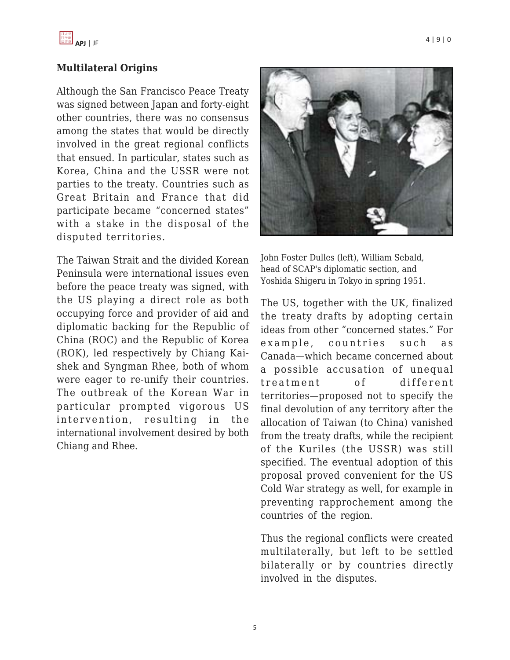

#### **Multilateral Origins**

Although the San Francisco Peace Treaty was signed between Japan and forty-eight other countries, there was no consensus among the states that would be directly involved in the great regional conflicts that ensued. In particular, states such as Korea, China and the USSR were not parties to the treaty. Countries such as Great Britain and France that did participate became "concerned states" with a stake in the disposal of the disputed territories.

The Taiwan Strait and the divided Korean Peninsula were international issues even before the peace treaty was signed, with the US playing a direct role as both occupying force and provider of aid and diplomatic backing for the Republic of China (ROC) and the Republic of Korea (ROK), led respectively by Chiang Kaishek and Syngman Rhee, both of whom were eager to re-unify their countries. The outbreak of the Korean War in particular prompted vigorous US intervention, resulting in the international involvement desired by both Chiang and Rhee.



John Foster Dulles (left), William Sebald, head of SCAP's diplomatic section, and Yoshida Shigeru in Tokyo in spring 1951.

The US, together with the UK, finalized the treaty drafts by adopting certain ideas from other "concerned states." For example, countries such as Canada—which became concerned about a possible accusation of unequal treatment of different territories—proposed not to specify the final devolution of any territory after the allocation of Taiwan (to China) vanished from the treaty drafts, while the recipient of the Kuriles (the USSR) was still specified. The eventual adoption of this proposal proved convenient for the US Cold War strategy as well, for example in preventing rapprochement among the countries of the region.

Thus the regional conflicts were created multilaterally, but left to be settled bilaterally or by countries directly involved in the disputes.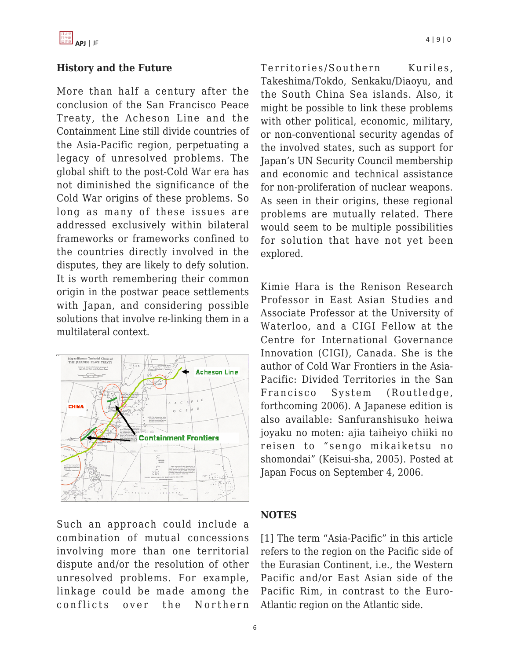## **History and the Future**

More than half a century after the conclusion of the San Francisco Peace Treaty, the Acheson Line and the Containment Line still divide countries of the Asia-Pacific region, perpetuating a legacy of unresolved problems. The global shift to the post-Cold War era has not diminished the significance of the Cold War origins of these problems. So long as many of these issues are addressed exclusively within bilateral frameworks or frameworks confined to the countries directly involved in the disputes, they are likely to defy solution. It is worth remembering their common origin in the postwar peace settlements with Japan, and considering possible solutions that involve re-linking them in a multilateral context.



Such an approach could include a combination of mutual concessions involving more than one territorial dispute and/or the resolution of other unresolved problems. For example, linkage could be made among the conflicts over the Northern Territories/Southern Kuriles, Takeshima/Tokdo, Senkaku/Diaoyu, and the South China Sea islands. Also, it might be possible to link these problems with other political, economic, military, or non-conventional security agendas of the involved states, such as support for Japan's UN Security Council membership and economic and technical assistance for non-proliferation of nuclear weapons. As seen in their origins, these regional problems are mutually related. There would seem to be multiple possibilities for solution that have not yet been explored.

Kimie Hara is the Renison Research Professor in East Asian Studies and Associate Professor at the University of Waterloo, and a CIGI Fellow at the Centre for International Governance Innovation (CIGI), Canada. She is the author of Cold War Frontiers in the Asia-Pacific: Divided Territories in the San Francisco System (Routledge, forthcoming 2006). A Japanese edition is also available: Sanfuranshisuko heiwa joyaku no moten: ajia taiheiyo chiiki no reisen to " sengo mikaiketsu no shomondai" (Keisui-sha, 2005). Posted at Japan Focus on September 4, 2006.

## **NOTES**

[1] The term "Asia-Pacific" in this article refers to the region on the Pacific side of the Eurasian Continent, i.e., the Western Pacific and/or East Asian side of the Pacific Rim, in contrast to the Euro-Atlantic region on the Atlantic side.